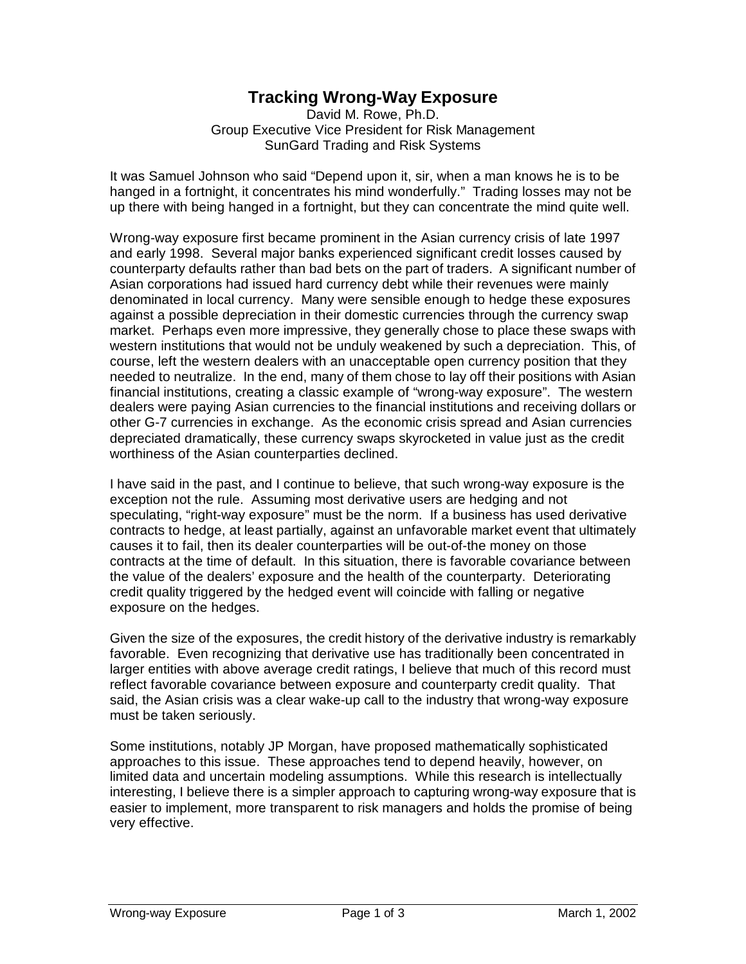## **Tracking Wrong-Way Exposure**

David M. Rowe, Ph.D. Group Executive Vice President for Risk Management SunGard Trading and Risk Systems

It was Samuel Johnson who said "Depend upon it, sir, when a man knows he is to be hanged in a fortnight, it concentrates his mind wonderfully." Trading losses may not be up there with being hanged in a fortnight, but they can concentrate the mind quite well.

Wrong-way exposure first became prominent in the Asian currency crisis of late 1997 and early 1998. Several major banks experienced significant credit losses caused by counterparty defaults rather than bad bets on the part of traders. A significant number of Asian corporations had issued hard currency debt while their revenues were mainly denominated in local currency. Many were sensible enough to hedge these exposures against a possible depreciation in their domestic currencies through the currency swap market. Perhaps even more impressive, they generally chose to place these swaps with western institutions that would not be unduly weakened by such a depreciation. This, of course, left the western dealers with an unacceptable open currency position that they needed to neutralize. In the end, many of them chose to lay off their positions with Asian financial institutions, creating a classic example of "wrong-way exposure". The western dealers were paying Asian currencies to the financial institutions and receiving dollars or other G-7 currencies in exchange. As the economic crisis spread and Asian currencies depreciated dramatically, these currency swaps skyrocketed in value just as the credit worthiness of the Asian counterparties declined.

I have said in the past, and I continue to believe, that such wrong-way exposure is the exception not the rule. Assuming most derivative users are hedging and not speculating, "right-way exposure" must be the norm. If a business has used derivative contracts to hedge, at least partially, against an unfavorable market event that ultimately causes it to fail, then its dealer counterparties will be out-of-the money on those contracts at the time of default. In this situation, there is favorable covariance between the value of the dealers' exposure and the health of the counterparty. Deteriorating credit quality triggered by the hedged event will coincide with falling or negative exposure on the hedges.

Given the size of the exposures, the credit history of the derivative industry is remarkably favorable. Even recognizing that derivative use has traditionally been concentrated in larger entities with above average credit ratings, I believe that much of this record must reflect favorable covariance between exposure and counterparty credit quality. That said, the Asian crisis was a clear wake-up call to the industry that wrong-way exposure must be taken seriously.

Some institutions, notably JP Morgan, have proposed mathematically sophisticated approaches to this issue. These approaches tend to depend heavily, however, on limited data and uncertain modeling assumptions. While this research is intellectually interesting, I believe there is a simpler approach to capturing wrong-way exposure that is easier to implement, more transparent to risk managers and holds the promise of being very effective.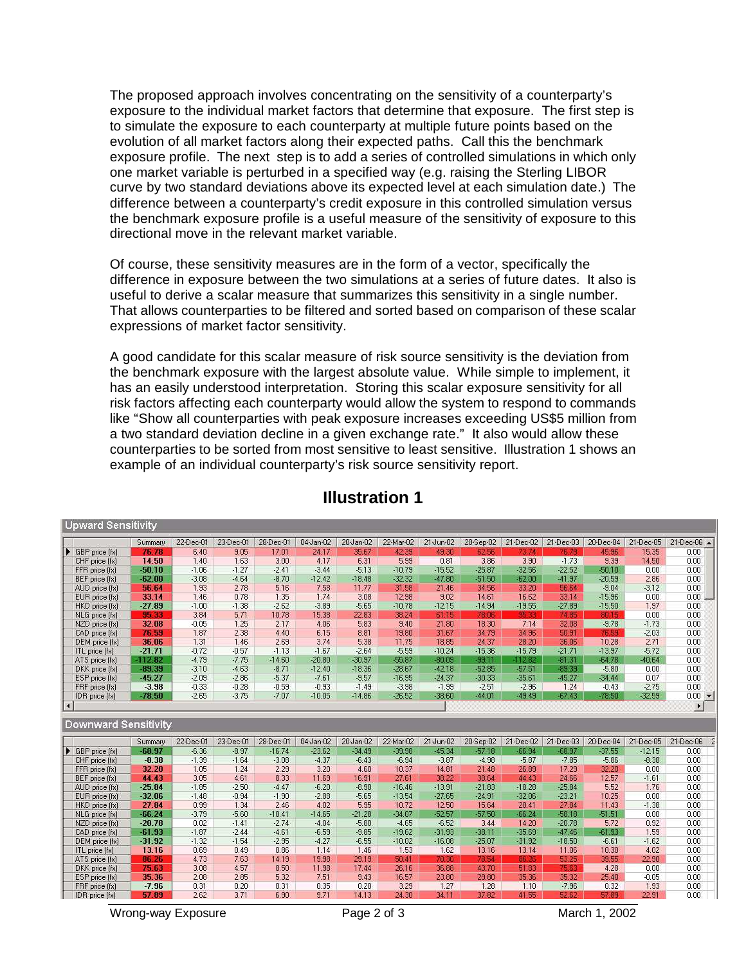The proposed approach involves concentrating on the sensitivity of a counterparty's exposure to the individual market factors that determine that exposure. The first step is to simulate the exposure to each counterparty at multiple future points based on the evolution of all market factors along their expected paths. Call this the benchmark exposure profile. The next step is to add a series of controlled simulations in which only one market variable is perturbed in a specified way (e.g. raising the Sterling LIBOR curve by two standard deviations above its expected level at each simulation date.) The difference between a counterparty's credit exposure in this controlled simulation versus the benchmark exposure profile is a useful measure of the sensitivity of exposure to this directional move in the relevant market variable.

Of course, these sensitivity measures are in the form of a vector, specifically the difference in exposure between the two simulations at a series of future dates. It also is useful to derive a scalar measure that summarizes this sensitivity in a single number. That allows counterparties to be filtered and sorted based on comparison of these scalar expressions of market factor sensitivity.

A good candidate for this scalar measure of risk source sensitivity is the deviation from the benchmark exposure with the largest absolute value. While simple to implement, it has an easily understood interpretation. Storing this scalar exposure sensitivity for all risk factors affecting each counterparty would allow the system to respond to commands like "Show all counterparties with peak exposure increases exceeding US\$5 million from a two standard deviation decline in a given exchange rate." It also would allow these counterparties to be sorted from most sensitive to least sensitive. Illustration 1 shows an example of an individual counterparty's risk source sensitivity report.

| Upward Sensitivity               |                   |                 |                 |                 |                 |                 |                  |                  |                   |                   |                   |                  |                 |                       |
|----------------------------------|-------------------|-----------------|-----------------|-----------------|-----------------|-----------------|------------------|------------------|-------------------|-------------------|-------------------|------------------|-----------------|-----------------------|
|                                  | Summary           | 22-Dec-01       | 23-Dec-01       | 28-Dec-01       | 04-Jan-02       | 20-Jan-02       | 22-Mar-02        | 21-Jun-02        | 20-Sep-02         | 21-Dec-02         | 21-Dec-03         | 20-Dec-04        | 21-Dec-05       | $21 - Dec - 06$       |
| GBP price (fx)                   | 76.78             | 6.40            | 9.05            | 17.01           | 24.17           | 35.67           | 42.39            | 49.30            | 62.56             | '3.74             | 76.78             | 45.96            | 15.35           | 0.00                  |
| CHF price [fx]                   | 14.50             | 1.40            | 1.63            | 3.00            | 4.17            | 6.31            | 5.99             | 0.81             | 3.86              | 3.90              | $-1.73$           | 9.39             | 14.50           | 0.00.                 |
| FFR price (fx)                   | $-50.10$          | $-1.06$         | $-1.27$         | $-2.41$         | $-3.44$         | $-5.13$         | $-10.79$         | $-15.52$         | $-25.87$          | $-32.56$          | $-22.52$          | $-50.10$         | 0.00            | 0.00                  |
| BEF price [fx]                   | $-62.00$          | $-3.08$         | $-4.64$         | $-8.70$         | $-12.42$        | $-18.48$        | $-32.32$         | $-47.80$         | $-51.50$          | $-62.00$          | $-41.97$          | $-20.59$         | 2.86            | 0.00                  |
| AUD price (fx)                   | 56.64             | 1.93            | 2.78            | 5.16            | 7.58            | 11.77           | 31.58            | 21.46            | 34.56             | 33.20             | 56.64             | $-9.04$          | $-3.12$         | 0.00                  |
| EUR price [fx]                   | 33.14             | 1.46            | 0.78            | 1.35            | 1.74            | 3.08            | 12.98            | 9.02             | 14.61             | 16.62             | 33.14             | $-15.96$         | 0.00            | 0.00.                 |
| HKD price (fx)                   | $-27.89$          | $-1.00$         | $-1.38$         | $-2.62$         | $-3.89$         | $-5.65$         | $-10.78$         | $-12.15$         | $-14.94$          | $-19.55$          | $-27.89$          | $-15.50$         | 1.97            | 0.00                  |
| NLG price [fx]                   | 95.33             | 3.84            | 5.71            | 10.78           | 15.38           | 22.83           | 38.24            | 61.15            | 78.06             | 95.33             | 74.85             | 80.15            | 0.00            | 0.00                  |
| NZD price [fx]                   | 32.08             | $-0.05$         | 1.25            | 2.17            | 4.06            | 5.83            | 9.40             | 21.80            | 18.30             | 7.14              | 32.08             | $-9.78$          | $-1.73$         | 0.00                  |
| CAD price [fx]                   | 76.59             | 1.87            | 2.38            | 4.40            | 6.15            | 8.81            | 19.80            | 31.67            | 34.79             | 34.96             | 50.91             | 76.59            | $-2.03$         | 0.00                  |
| DEM price (fx)                   | 36.06             | 1.31            | 1.46            | 2.69            | 3.74            | 5.38            | 11.75            | 18.85            | 24.37             | 28.20             | 36.06             | 10.28            | 2.71            | 0.00                  |
| ITL price [fx]                   | $-21.71$          | $-0.72$         | $-0.57$         | $-1.13$         | $-1.67$         | $-2.64$         | $-5.59$          | $-10.24$         | $-15.36$          | $-15.79$          | $-21.71$          | $-13.97$         | $-5.72$         | 0.00                  |
| ATS price [fx]                   | $-112.82$         | $-4.79$         | $-7.75$         | $-14.60$        | $-20.80$        | $-30.97$        | $-55.87$         | $-80.09$         | $-99.11$          | $-112.82$         | $-81.31$          | $-64.78$         | $-40.64$        | 0.00                  |
| DKK price [fx]                   | $-89.39$          | $-3.10$         | $-4.63$         | $-8.71$         | $-12.40$        | $-18.36$        | $-28.67$         | $-42.18$         | $-52.85$          | $-57.51$          | $-89.39$          | $-5.80$          | 0.00            | 0.00                  |
| ESP price (fx)                   | $-45.27$          | $-2.09$         | $-2.86$         | $-5.37$         | $-7.61$         | $-9.57$         | $-16.95$         | $-24.37$         | $-30.33$          | $-35.61$          | $-45.27$          | $-34.44$         | 0.07            | 0.00                  |
|                                  | $-3.98$           | $-0.33$         | $-0.28$         | $-0.59$         | $-0.93$         | $-1.49$         | $-3.98$          | $-1.99$          | $-2.51$           | $-2.96$           | 1.24              | $-0.43$          | $-2.75$         | 0.00                  |
| FRF price [fx]                   |                   |                 |                 |                 |                 |                 |                  |                  |                   | $-49.49$          |                   |                  | $-32.59$        | $0.00 -$              |
| IDR price (fx)                   | $-78.50$          | $-2.65$         | $-3.75$         | $-7.07$         | $-10.05$        | $-14.86$        | $-26.52$         | $-38.60$         | $-44.01$          |                   | $-67.43$          | $-78.50$         |                 |                       |
| $\blacktriangleleft$             |                   |                 |                 |                 |                 |                 |                  |                  |                   |                   |                   |                  |                 | $\blacktriangleright$ |
| Downward Sensitivity             |                   |                 |                 |                 |                 |                 |                  |                  |                   |                   |                   |                  |                 |                       |
|                                  | <b>Summary</b>    | 22-Dec-01       | 23-Dec-01       | 28-Dec-01       | 04-Jan-02       | 20-Jan-02       | 22-Mar-02        | 21-Jun-02        | 20-Sep-02         | 21-Dec-02         | 21-Dec-03         | 20-Dec-04        | 21-Dec-05       | 21-Dec-06             |
| $\triangleright$ GBP price [fx]  | $-68.97$          | $-6.36$         | $-8.97$         | $-16.74$        | $-23.62$        | $-34.49$        | $-39.98$         | $-45.34$         | $-57.18$          | $-66.94$          | $-68.97$          | $-37.55$         | $-12.15$        | 0.00                  |
| CHF price [fx]                   | $-8.38$           | $-1.39$         | $-1.64$         | $-3.08$         | $-4.37$         | $-6.43$         | $-6.94$          | $-3.87$          | $-4.98$           | $-5.87$           | $-7.85$           | $-5.86$          | $-8.38$         | 0.00                  |
| FFR price [fx]                   | 32.20             | 1.05            | 1.24            | 2.29            | 3.20            | 4.60            | 10.37            | 14.81            | 21.48             | 26.89             | 17.29             | 32.20            | 0.00            | 0.00                  |
| BEF price [fx]                   | 44.43             | 3.05            | 4.61            | 8.33            | 11.69           | 16.91           | 27.61            | 38.22            | 38.64             | 44.43             | 24.66             | 12.57            | $-1.61$         | 0.00                  |
| AUD price [fx]                   | $-25.84$          | $-1.85$         | $-2.50$         | $-4.47$         | $-6.20$         | $-8.90$         | $-16.46$         | $-13.91$         | $-21.83$          | $-18.28$          | $-25.84$          | 5.52             | 1.76            | 0.00                  |
| EUR price (fx)                   | $-32.06$          | $-1.48$         | $-0.94$         | $-1.90$         | $-2.88$         | $-5.65$         | $-13.54$         | $-27.65$         | $-24.91$          | $-32.06$          | $-23.21$          | 10.25            | 0.00            | 0.00                  |
| HKD price (fx)                   | 27.84             | 0.99            | 1.34            | 2.46            | 4.02            | 5.95            | 10.72            | 12.50            | 15.64             | 20.41             | 27.84             | 11.43            | $-1.38$         | 0.00                  |
| NLG price [fx]                   | $-66.24$          | $-3.79$         | $-5.60$         | $-10.41$        | $-14.65$        | $-21.28$        | $-34.07$         | $-52.57$         | $-57.50$          | $-66.24$          | $-58.18$          | $-51.51$         | 0.00            | 0.00                  |
| NZD price (fx)                   | $-20.78$          | 0.02            | $-1.41$         | $-2.74$         | $-4.04$         | $-5.80$         | $-4.65$          | $-6.52$          | 3.44              | 14.20             | $-20.78$          | 5.72             | 0.92            | 0.00                  |
| CAD price [fx]                   | $-61.93$          | $-1.87$         | $-2.44$         | $-4.61$         | $-6.59$         | $-9.85$         | $-19.62$         | $-31.93$         | $-38.11$          | $-35.69$          | $-47.46$          | $-61.93$         | 1.59            | 0.00                  |
| DEM price (fx)                   | $-31.92$<br>13.16 | $-1.32$<br>0.69 | $-1.54$<br>0.49 | $-2.95$<br>0.86 | $-4.27$<br>1.14 | $-6.55$<br>1.46 | $-10.02$<br>1.53 | $-16.08$<br>1.62 | $-25.07$<br>13.16 | $-31.92$<br>13.14 | $-18.50$<br>11.06 | $-6.61$<br>10.30 | $-1.62$<br>4.02 | 0.00<br>0.00          |
| ITL price [fx]                   | 86.26             | 4.73            | 7.63            | 14.19           | 19.98           | 29.19           | 50.41            | 70.30            | 78.54             | 86.26             | 53.25             | 39.55            | 22.90           | 0.00                  |
| ATS price [fx]<br>DKK price [fx] | 75.63             | 3.08            | 4.57            | 8.50            | 11.98           | 17.44           | 26.16            | 36,88            | 43.70             | 51.83             | 75.63             | 4.28             | 0.00            | 0.00                  |
| ESP price [fx]                   | 35.36             | 2.08            | 2.85            | 5.32            | 7.51            | 9.43            | 16.57            | 23.80            | 29.80             | 35.36             | 35.32             | 25.40            | $-0.05$         | 0.00                  |
| FRF price (fx)                   | $-7.96$           | 0.31            | 0.20            | 0.31            | 0.35            | 0.20            | 3.29             | 1.27             | 1.28              | 1.10              | $-7.96$           | 0.32             | 1.93            | Ž<br>0.00             |

## **Illustration 1**

Wrong-way Exposure **Page 2 of 3** March 1, 2002